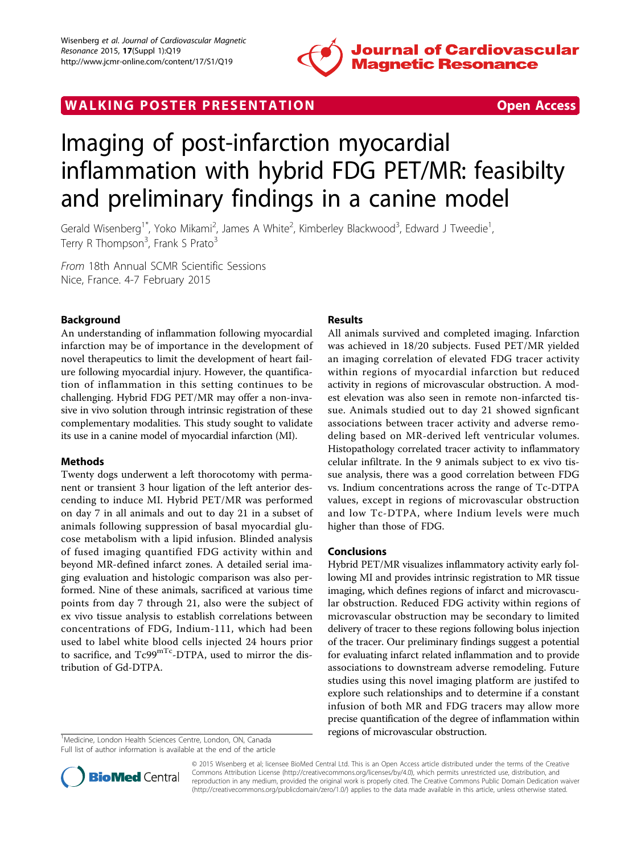

WALKING POSTER PRESENTATION **SECURE 2018 THE SERVICE SERVICE SERVICE SERVICE** SUPPORT OPEN ACCESS

# Imaging of post-infarction myocardial inflammation with hybrid FDG PET/MR: feasibilty and preliminary findings in a canine model

Gerald Wisenberg<sup>1\*</sup>, Yoko Mikami<sup>2</sup>, James A White<sup>2</sup>, Kimberley Blackwood<sup>3</sup>, Edward J Tweedie<sup>1</sup> , Terry R Thompson<sup>3</sup>, Frank S Prato<sup>3</sup>

From 18th Annual SCMR Scientific Sessions Nice, France. 4-7 February 2015

# Background

An understanding of inflammation following myocardial infarction may be of importance in the development of novel therapeutics to limit the development of heart failure following myocardial injury. However, the quantification of inflammation in this setting continues to be challenging. Hybrid FDG PET/MR may offer a non-invasive in vivo solution through intrinsic registration of these complementary modalities. This study sought to validate its use in a canine model of myocardial infarction (MI).

# Methods

Twenty dogs underwent a left thorocotomy with permanent or transient 3 hour ligation of the left anterior descending to induce MI. Hybrid PET/MR was performed on day 7 in all animals and out to day 21 in a subset of animals following suppression of basal myocardial glucose metabolism with a lipid infusion. Blinded analysis of fused imaging quantified FDG activity within and beyond MR-defined infarct zones. A detailed serial imaging evaluation and histologic comparison was also performed. Nine of these animals, sacrificed at various time points from day 7 through 21, also were the subject of ex vivo tissue analysis to establish correlations between concentrations of FDG, Indium-111, which had been used to label white blood cells injected 24 hours prior to sacrifice, and Tc99<sup>mTc</sup>-DTPA, used to mirror the distribution of Gd-DTPA.

#### <sup>1</sup>Medicine, London Health Sciences Centre, London, ON, Canada Full list of author information is available at the end of the article

# Results

All animals survived and completed imaging. Infarction was achieved in 18/20 subjects. Fused PET/MR yielded an imaging correlation of elevated FDG tracer activity within regions of myocardial infarction but reduced activity in regions of microvascular obstruction. A modest elevation was also seen in remote non-infarcted tissue. Animals studied out to day 21 showed signficant associations between tracer activity and adverse remodeling based on MR-derived left ventricular volumes. Histopathology correlated tracer activity to inflammatory celular infiltrate. In the 9 animals subject to ex vivo tissue analysis, there was a good correlation between FDG vs. Indium concentrations across the range of Tc-DTPA values, except in regions of microvascular obstruction and low Tc-DTPA, where Indium levels were much higher than those of FDG.

### Conclusions

Hybrid PET/MR visualizes inflammatory activity early following MI and provides intrinsic registration to MR tissue imaging, which defines regions of infarct and microvascular obstruction. Reduced FDG activity within regions of microvascular obstruction may be secondary to limited delivery of tracer to these regions following bolus injection of the tracer. Our preliminary findings suggest a potential for evaluating infarct related inflammation and to provide associations to downstream adverse remodeling. Future studies using this novel imaging platform are justifed to explore such relationships and to determine if a constant infusion of both MR and FDG tracers may allow more precise quantification of the degree of inflammation within regions of microvascular obstruction. <sup>1</sup>



© 2015 Wisenberg et al; licensee BioMed Central Ltd. This is an Open Access article distributed under the terms of the Creative Commons Attribution License [\(http://creativecommons.org/licenses/by/4.0](http://creativecommons.org/licenses/by/4.0)), which permits unrestricted use, distribution, and reproduction in any medium, provided the original work is properly cited. The Creative Commons Public Domain Dedication waiver [\(http://creativecommons.org/publicdomain/zero/1.0/](http://creativecommons.org/publicdomain/zero/1.0/)) applies to the data made available in this article, unless otherwise stated.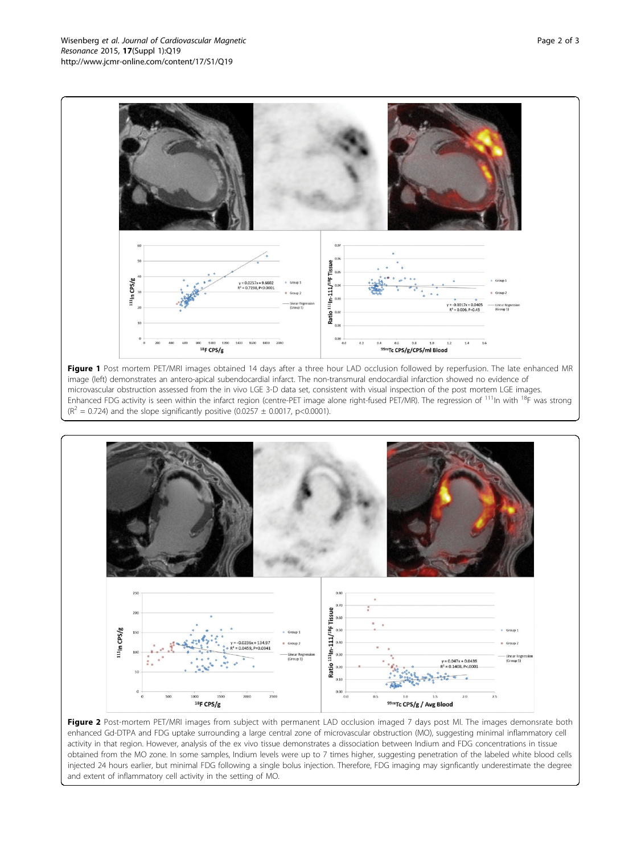

Figure 1 Post mortem PET/MRI images obtained 14 days after a three hour LAD occlusion followed by reperfusion. The late enhanced MR image (left) demonstrates an antero-apical subendocardial infarct. The non-transmural endocardial infarction showed no evidence of microvascular obstruction assessed from the in vivo LGE 3-D data set, consistent with visual inspection of the post mortem LGE images. Enhanced FDG activity is seen within the infarct region (centre-PET image alone right-fused PET/MR). The regression of <sup>111</sup>ln with <sup>18</sup>F was strong  $(R^{2} = 0.724)$  and the slope significantly positive (0.0257 ± 0.0017, p<0.0001).



Figure 2 Post-mortem PET/MRI images from subject with permanent LAD occlusion imaged 7 days post MI. The images demonsrate both enhanced Gd-DTPA and FDG uptake surrounding a large central zone of microvascular obstruction (MO), suggesting minimal inflammatory cell activity in that region. However, analysis of the ex vivo tissue demonstrates a dissociation between Indium and FDG concentrations in tissue obtained from the MO zone. In some samples, Indium levels were up to 7 times higher, suggesting penetration of the labeled white blood cells injected 24 hours earlier, but minimal FDG following a single bolus injection. Therefore, FDG imaging may signficantly underestimate the degree and extent of inflammatory cell activity in the setting of MO.